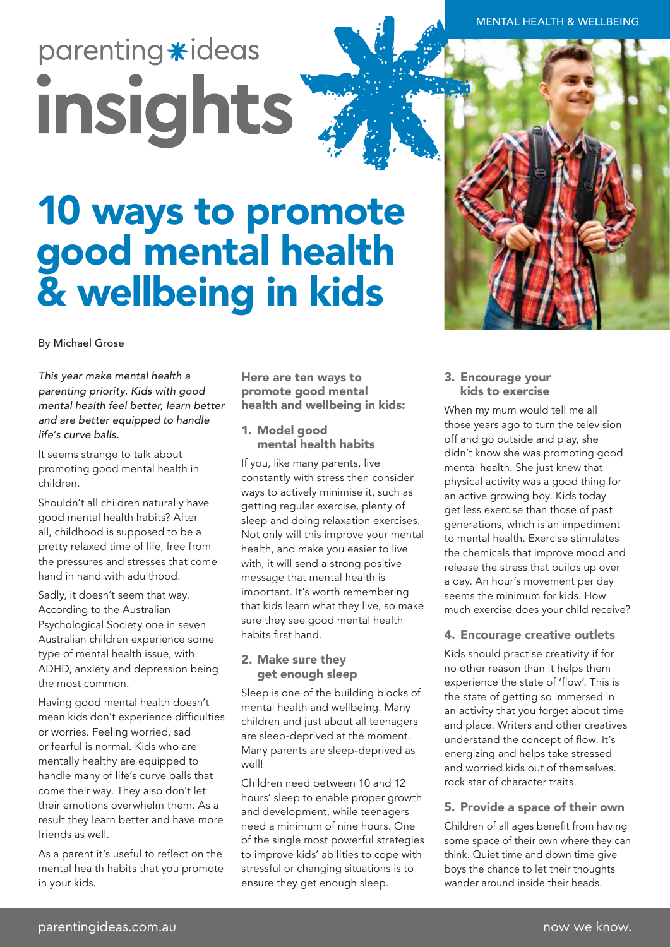# parenting \*ideas insights

## 10 ways to promote good mental health & wellbeing in kids

By Michael Grose

*This year make mental health a parenting priority. Kids with good mental health feel better, learn better and are better equipped to handle life's curve balls.* 

It seems strange to talk about promoting good mental health in children.

Shouldn't all children naturally have good mental health habits? After all, childhood is supposed to be a pretty relaxed time of life, free from the pressures and stresses that come hand in hand with adulthood.

Sadly, it doesn't seem that way. According to the Australian Psychological Society one in seven Australian children experience some type of mental health issue, with ADHD, anxiety and depression being the most common.

Having good mental health doesn't mean kids don't experience difficulties or worries. Feeling worried, sad or fearful is normal. Kids who are mentally healthy are equipped to handle many of life's curve balls that come their way. They also don't let their emotions overwhelm them. As a result they learn better and have more friends as well.

As a parent it's useful to reflect on the mental health habits that you promote in your kids.

Here are ten ways to promote good mental health and wellbeing in kids:

#### 1. Model good mental health habits

If you, like many parents, live constantly with stress then consider ways to actively minimise it, such as getting regular exercise, plenty of sleep and doing relaxation exercises. Not only will this improve your mental health, and make you easier to live with, it will send a strong positive message that mental health is important. It's worth remembering that kids learn what they live, so make sure they see good mental health habits first hand.

#### 2. Make sure they get enough sleep

Sleep is one of the building blocks of mental health and wellbeing. Many children and just about all teenagers are sleep-deprived at the moment. Many parents are sleep-deprived as well!

Children need between 10 and 12 hours' sleep to enable proper growth and development, while teenagers need a minimum of nine hours. One of the single most powerful strategies to improve kids' abilities to cope with stressful or changing situations is to ensure they get enough sleep.

#### 3. Encourage your kids to exercise

When my mum would tell me all those years ago to turn the television off and go outside and play, she didn't know she was promoting good mental health. She just knew that physical activity was a good thing for an active growing boy. Kids today get less exercise than those of past generations, which is an impediment to mental health. Exercise stimulates the chemicals that improve mood and release the stress that builds up over a day. An hour's movement per day seems the minimum for kids. How much exercise does your child receive?

#### 4. Encourage creative outlets

Kids should practise creativity if for no other reason than it helps them experience the state of 'flow'. This is the state of getting so immersed in an activity that you forget about time and place. Writers and other creatives understand the concept of flow. It's energizing and helps take stressed and worried kids out of themselves. rock star of character traits.

#### 5. Provide a space of their own

Children of all ages benefit from having some space of their own where they can think. Quiet time and down time give boys the chance to let their thoughts wander around inside their heads.